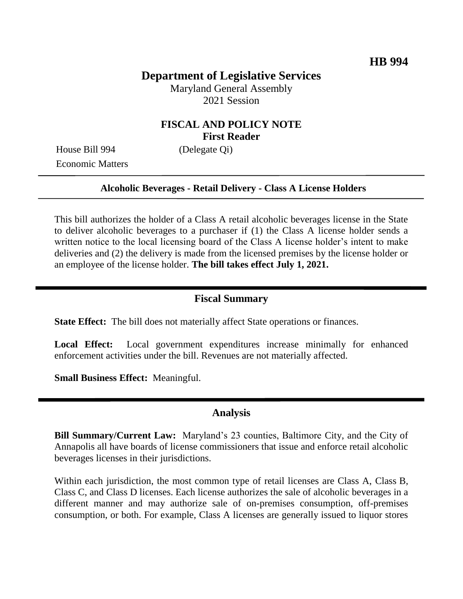# **Department of Legislative Services**

Maryland General Assembly 2021 Session

### **FISCAL AND POLICY NOTE First Reader**

House Bill 994 (Delegate Qi) Economic Matters

#### **Alcoholic Beverages - Retail Delivery - Class A License Holders**

This bill authorizes the holder of a Class A retail alcoholic beverages license in the State to deliver alcoholic beverages to a purchaser if (1) the Class A license holder sends a written notice to the local licensing board of the Class A license holder's intent to make deliveries and (2) the delivery is made from the licensed premises by the license holder or an employee of the license holder. **The bill takes effect July 1, 2021.** 

#### **Fiscal Summary**

**State Effect:** The bill does not materially affect State operations or finances.

**Local Effect:** Local government expenditures increase minimally for enhanced enforcement activities under the bill. Revenues are not materially affected.

**Small Business Effect:** Meaningful.

### **Analysis**

**Bill Summary/Current Law:** Maryland's 23 counties, Baltimore City, and the City of Annapolis all have boards of license commissioners that issue and enforce retail alcoholic beverages licenses in their jurisdictions.

Within each jurisdiction, the most common type of retail licenses are Class A, Class B, Class C, and Class D licenses. Each license authorizes the sale of alcoholic beverages in a different manner and may authorize sale of on-premises consumption, off-premises consumption, or both. For example, Class A licenses are generally issued to liquor stores